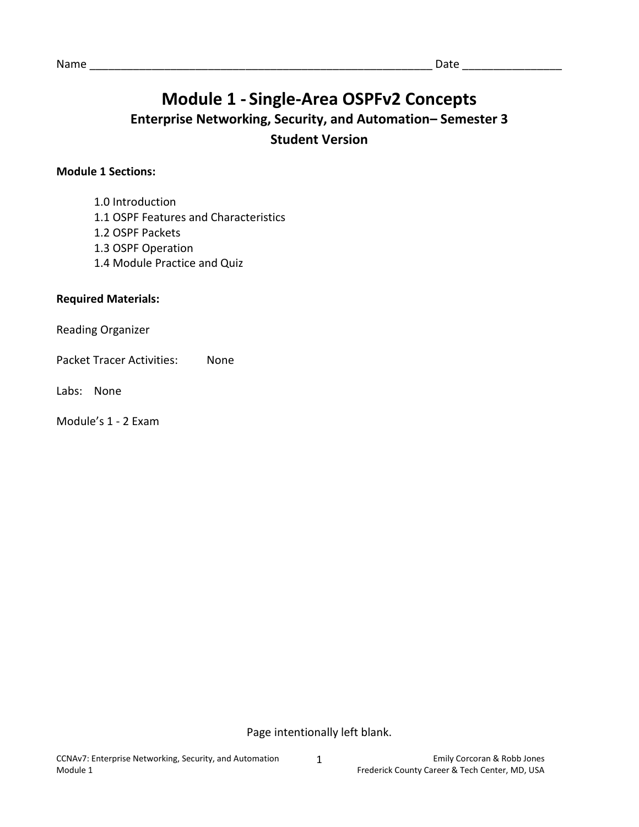# **Module 1 - Single-Area OSPFv2 Concepts**

### **Enterprise Networking, Security, and Automation– Semester 3 Student Version**

### **Module 1 Sections:**

- 1.0 Introduction
- 1.1 OSPF Features and Characteristics
- 1.2 OSPF Packets
- 1.3 OSPF Operation
- 1.4 Module Practice and Quiz

#### **Required Materials:**

Reading Organizer

Packet Tracer Activities: None

Labs: None

Module's 1 - 2 Exam

Page intentionally left blank.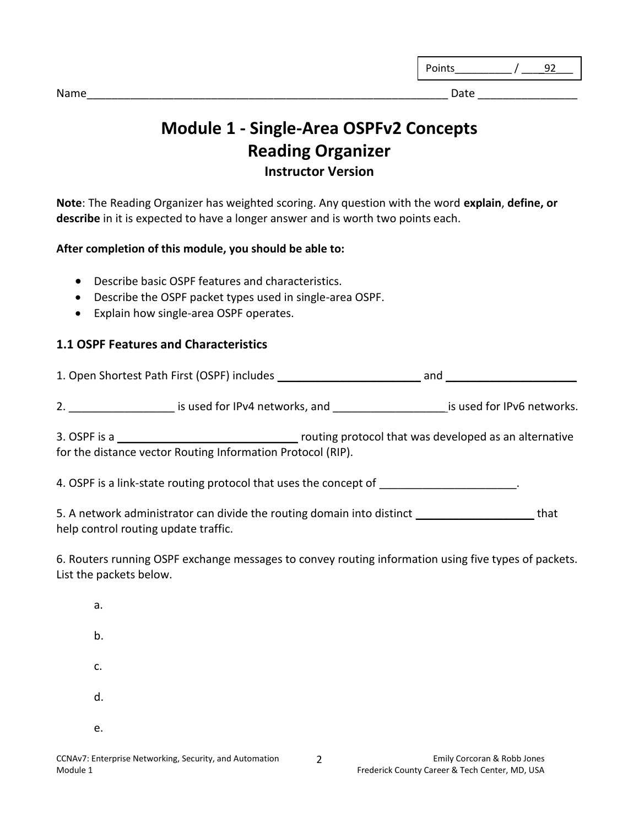| ◝<br>$-$<br>$-$ |  |
|-----------------|--|
|                 |  |

Name\_\_\_\_\_\_\_\_\_\_\_\_\_\_\_\_\_\_\_\_\_\_\_\_\_\_\_\_\_\_\_\_\_\_\_\_\_\_\_\_\_\_\_\_\_\_\_\_\_\_\_\_\_\_\_\_\_\_ Date \_\_\_\_\_\_\_\_\_\_\_\_\_\_\_\_

## **Module 1 - Single-Area OSPFv2 Concepts Reading Organizer Instructor Version**

**Note**: The Reading Organizer has weighted scoring. Any question with the word **explain**, **define, or describe** in it is expected to have a longer answer and is worth two points each.

### **After completion of this module, you should be able to:**

- Describe basic OSPF features and characteristics.
- Describe the OSPF packet types used in single-area OSPF.
- Explain how single-area OSPF operates.

### **1.1 OSPF Features and Characteristics**

1. Open Shortest Path First (OSPF) includes \_\_\_\_\_\_\_\_\_\_\_\_\_\_\_\_\_\_\_\_\_\_\_ and \_\_\_\_\_\_\_\_\_\_\_\_\_\_\_\_\_\_\_\_\_

2. \_\_\_\_\_\_\_\_\_\_\_\_\_\_\_\_\_\_\_\_\_\_\_\_ is used for IPv4 networks, and \_\_\_\_\_\_\_\_\_\_\_\_\_\_\_\_\_\_\_\_\_\_\_\_\_\_\_\_\_ is used for IPv6 networks.

3. OSPF is a \_\_\_\_\_\_\_\_\_\_\_\_\_\_\_\_\_\_\_\_\_\_\_\_\_\_\_\_\_ routing protocol that was developed as an alternative for the distance vector Routing Information Protocol (RIP).

4. OSPF is a link-state routing protocol that uses the concept of

5. A network administrator can divide the routing domain into distinct \_\_\_\_\_\_\_\_\_\_\_\_\_\_\_\_\_\_\_\_\_\_\_\_\_that help control routing update traffic.

6. Routers running OSPF exchange messages to convey routing information using five types of packets. List the packets below.

| а. |  |  |  |
|----|--|--|--|
| b. |  |  |  |
| c. |  |  |  |
| d. |  |  |  |
| e. |  |  |  |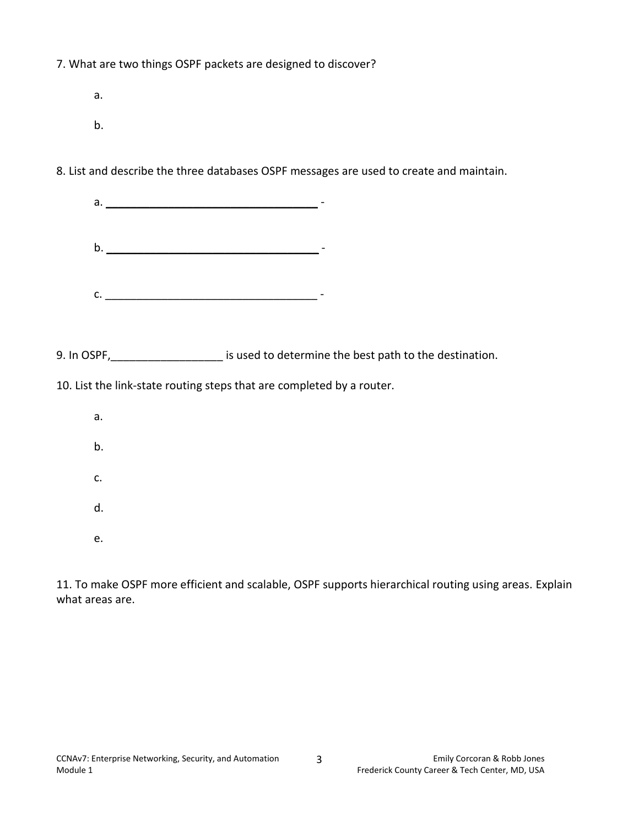7. What are two things OSPF packets are designed to discover?

a. b.

8. List and describe the three databases OSPF messages are used to create and maintain.

|                                                                       | a.                                                                                      |  |  |  |
|-----------------------------------------------------------------------|-----------------------------------------------------------------------------------------|--|--|--|
|                                                                       | $\mathsf b.$ $\qquad \qquad$                                                            |  |  |  |
|                                                                       | C.                                                                                      |  |  |  |
|                                                                       |                                                                                         |  |  |  |
|                                                                       | 9. In OSPF, ____________________ is used to determine the best path to the destination. |  |  |  |
| 10. List the link-state routing steps that are completed by a router. |                                                                                         |  |  |  |
| a.                                                                    |                                                                                         |  |  |  |
| b.                                                                    |                                                                                         |  |  |  |
| c.                                                                    |                                                                                         |  |  |  |
| d.                                                                    |                                                                                         |  |  |  |
|                                                                       |                                                                                         |  |  |  |

e.

11. To make OSPF more efficient and scalable, OSPF supports hierarchical routing using areas. Explain what areas are.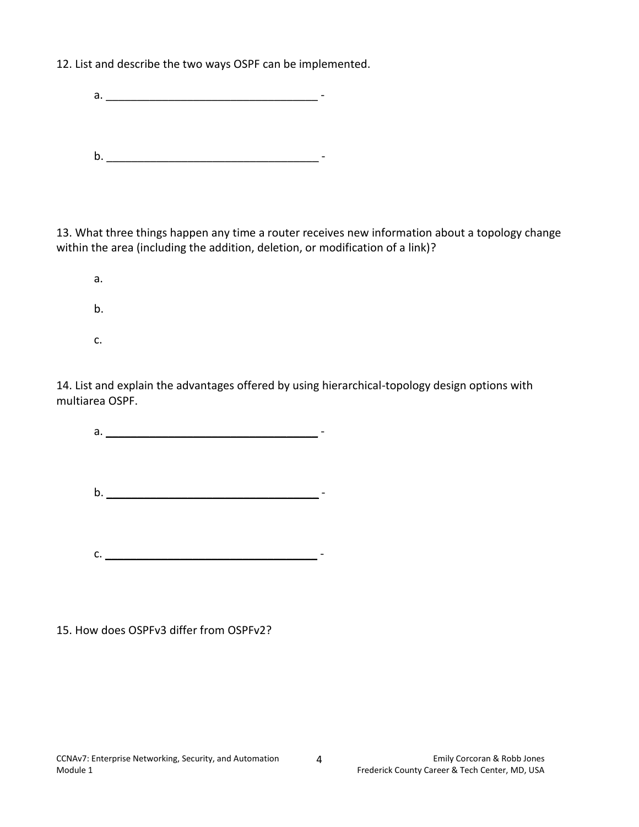12. List and describe the two ways OSPF can be implemented.

a.  $\blacksquare$ b. \_\_\_\_\_\_\_\_\_\_\_\_\_\_\_\_\_\_\_\_\_\_\_\_\_\_\_\_\_\_\_\_\_\_ -

13. What three things happen any time a router receives new information about a topology change within the area (including the addition, deletion, or modification of a link)?

a. b. c.

14. List and explain the advantages offered by using hierarchical-topology design options with multiarea OSPF.

a.  $\qquad \qquad$ b.  $\Box$ c. \_\_\_\_\_\_\_\_\_\_\_\_\_\_\_\_\_\_\_\_\_\_\_\_\_\_\_\_\_\_\_\_\_\_ -

15. How does OSPFv3 differ from OSPFv2?

4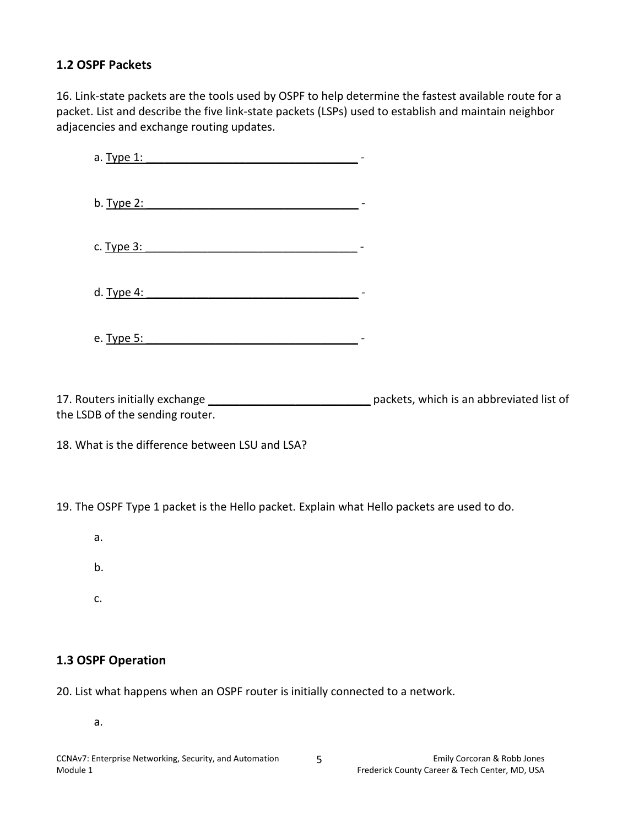### **1.2 OSPF Packets**

16. Link-state packets are the tools used by OSPF to help determine the fastest available route for a packet. List and describe the five link-state packets (LSPs) used to establish and maintain neighbor adjacencies and exchange routing updates.

a. Type 1: \_\_\_\_\_\_\_\_\_\_\_\_\_\_\_\_\_\_\_\_\_\_\_\_\_\_\_\_\_\_\_\_\_\_ b. Type 2:  $\blacksquare$ c. Type 3: \_\_\_\_\_\_\_\_\_\_\_\_\_\_\_\_\_\_\_\_\_\_\_\_\_\_\_\_\_\_\_\_\_\_ d. Type 4: \_\_\_\_\_\_\_\_\_\_\_\_\_\_\_\_\_\_\_\_\_\_\_\_\_\_\_\_\_\_\_\_\_\_ e. Type 5: \_\_\_\_\_\_\_\_\_\_\_\_\_\_\_\_\_\_\_\_\_\_\_\_\_\_\_\_\_\_\_\_\_\_ -

17. Routers initially exchange \_\_\_\_\_\_\_\_\_\_\_\_\_\_\_\_\_\_\_\_\_\_\_\_\_\_ packets, which is an abbreviated list of the LSDB of the sending router.

18. What is the difference between LSU and LSA?

19. The OSPF Type 1 packet is the Hello packet. Explain what Hello packets are used to do.

- a.
- b.
- c.

### **1.3 OSPF Operation**

20. List what happens when an OSPF router is initially connected to a network.

a.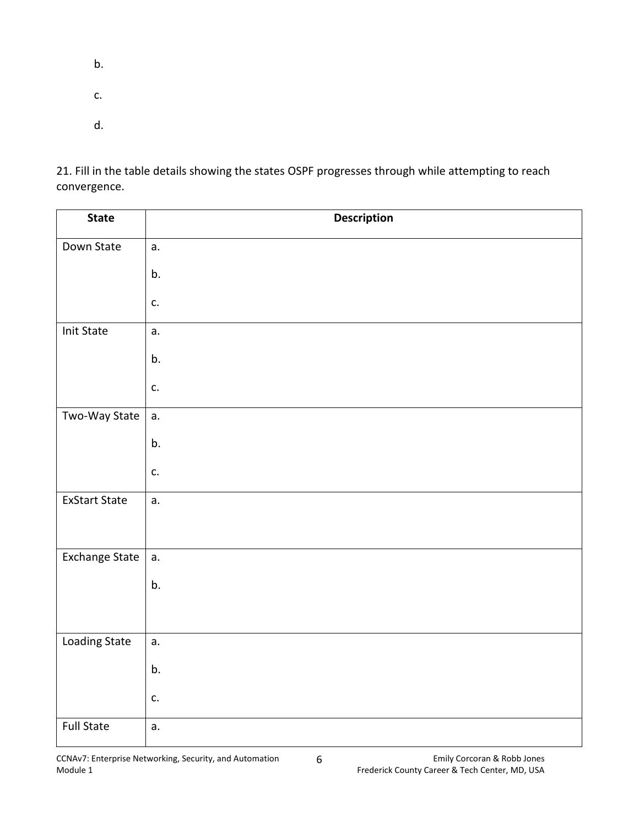- b.
- 
- c.
- d.

21. Fill in the table details showing the states OSPF progresses through while attempting to reach convergence.

| <b>State</b>         | <b>Description</b> |
|----------------------|--------------------|
| Down State           | a.                 |
|                      | b.                 |
|                      | c.                 |
| <b>Init State</b>    | a.                 |
|                      | b.                 |
|                      | c.                 |
| Two-Way State        | a.                 |
|                      | b.                 |
|                      | c.                 |
| <b>ExStart State</b> | a.                 |
|                      |                    |
| Exchange State       | a.                 |
|                      | b.                 |
|                      |                    |
| <b>Loading State</b> | a.                 |
|                      | b.                 |
|                      | c.                 |
| <b>Full State</b>    | a.                 |

6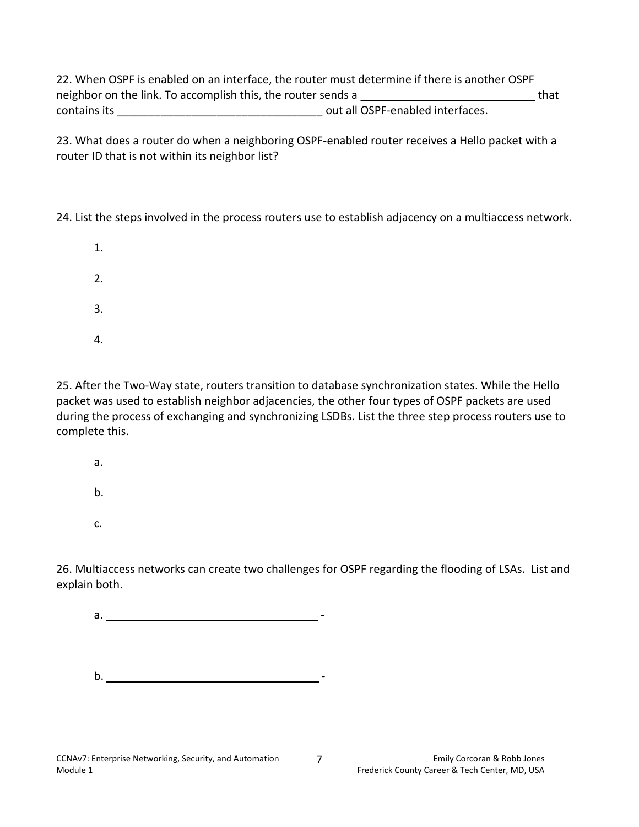22. When OSPF is enabled on an interface, the router must determine if there is another OSPF neighbor on the link. To accomplish this, the router sends a **Example 2** that contains its \_\_\_\_\_\_\_\_\_\_\_\_\_\_\_\_\_\_\_\_\_\_\_\_\_\_\_\_\_\_\_\_\_ out all OSPF-enabled interfaces.

23. What does a router do when a neighboring OSPF-enabled router receives a Hello packet with a router ID that is not within its neighbor list?

24. List the steps involved in the process routers use to establish adjacency on a multiaccess network.

- 1. 2. 3.
- 4.

25. After the Two-Way state, routers transition to database synchronization states. While the Hello packet was used to establish neighbor adjacencies, the other four types of OSPF packets are used during the process of exchanging and synchronizing LSDBs. List the three step process routers use to complete this.

- a.
- b.
- c.

26. Multiaccess networks can create two challenges for OSPF regarding the flooding of LSAs. List and explain both.

a. \_\_\_\_\_\_\_\_\_\_\_\_\_\_\_\_\_\_\_\_\_\_\_\_\_\_\_\_\_\_\_\_\_\_ -

b. \_\_\_\_\_\_\_\_\_\_\_\_\_\_\_\_\_\_\_\_\_\_\_\_\_\_\_\_\_\_\_\_\_\_ -